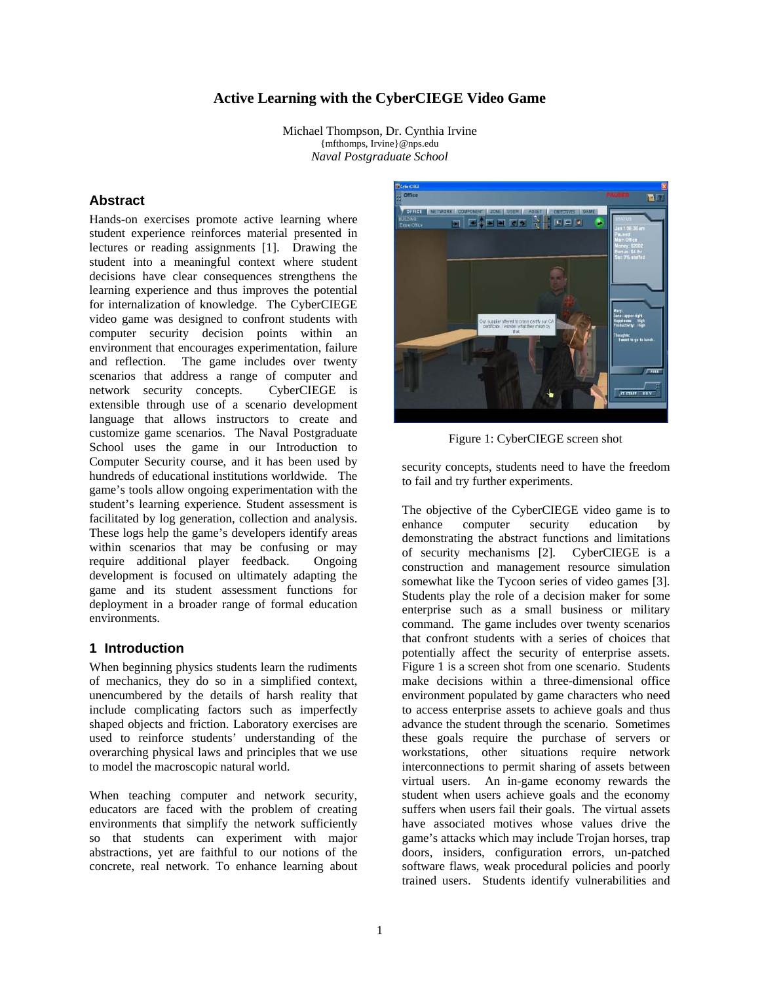## **Active Learning with the CyberCIEGE Video Game**

Michael Thompson, Dr. Cynthia Irvine {mfthomps, Irvine}@nps.edu *Naval Postgraduate School*

### **Abstract**

Hands-on exercises promote active learning where student experience reinforces material presented in lectures or reading assignments [1]. Drawing the student into a meaningful context where student decisions have clear consequences strengthens the learning experience and thus improves the potential for internalization of knowledge. The CyberCIEGE video game was designed to confront students with computer security decision points within an environment that encourages experimentation, failure and reflection. The game includes over twenty scenarios that address a range of computer and network security concepts. CyberCIEGE is extensible through use of a scenario development language that allows instructors to create and customize game scenarios. The Naval Postgraduate School uses the game in our Introduction to Computer Security course, and it has been used by hundreds of educational institutions worldwide. The game's tools allow ongoing experimentation with the student's learning experience. Student assessment is facilitated by log generation, collection and analysis. These logs help the game's developers identify areas within scenarios that may be confusing or may require additional player feedback. Ongoing development is focused on ultimately adapting the game and its student assessment functions for deployment in a broader range of formal education environments.

### **1 Introduction**

When beginning physics students learn the rudiments of mechanics, they do so in a simplified context, unencumbered by the details of harsh reality that include complicating factors such as imperfectly shaped objects and friction. Laboratory exercises are used to reinforce students' understanding of the overarching physical laws and principles that we use to model the macroscopic natural world.

When teaching computer and network security, educators are faced with the problem of creating environments that simplify the network sufficiently so that students can experiment with major abstractions, yet are faithful to our notions of the concrete, real network. To enhance learning about



Figure 1: CyberCIEGE screen shot

security concepts, students need to have the freedom to fail and try further experiments.

The objective of the CyberCIEGE video game is to enhance computer security education demonstrating the abstract functions and limitations of security mechanisms [2]. CyberCIEGE is a construction and management resource simulation somewhat like the Tycoon series of video games [3]. Students play the role of a decision maker for some enterprise such as a small business or military command. The game includes over twenty scenarios that confront students with a series of choices that potentially affect the security of enterprise assets. Figure 1 is a screen shot from one scenario. Students make decisions within a three-dimensional office environment populated by game characters who need to access enterprise assets to achieve goals and thus advance the student through the scenario. Sometimes these goals require the purchase of servers or workstations, other situations require network interconnections to permit sharing of assets between virtual users. An in-game economy rewards the student when users achieve goals and the economy suffers when users fail their goals. The virtual assets have associated motives whose values drive the game's attacks which may include Trojan horses, trap doors, insiders, configuration errors, un-patched software flaws, weak procedural policies and poorly trained users. Students identify vulnerabilities and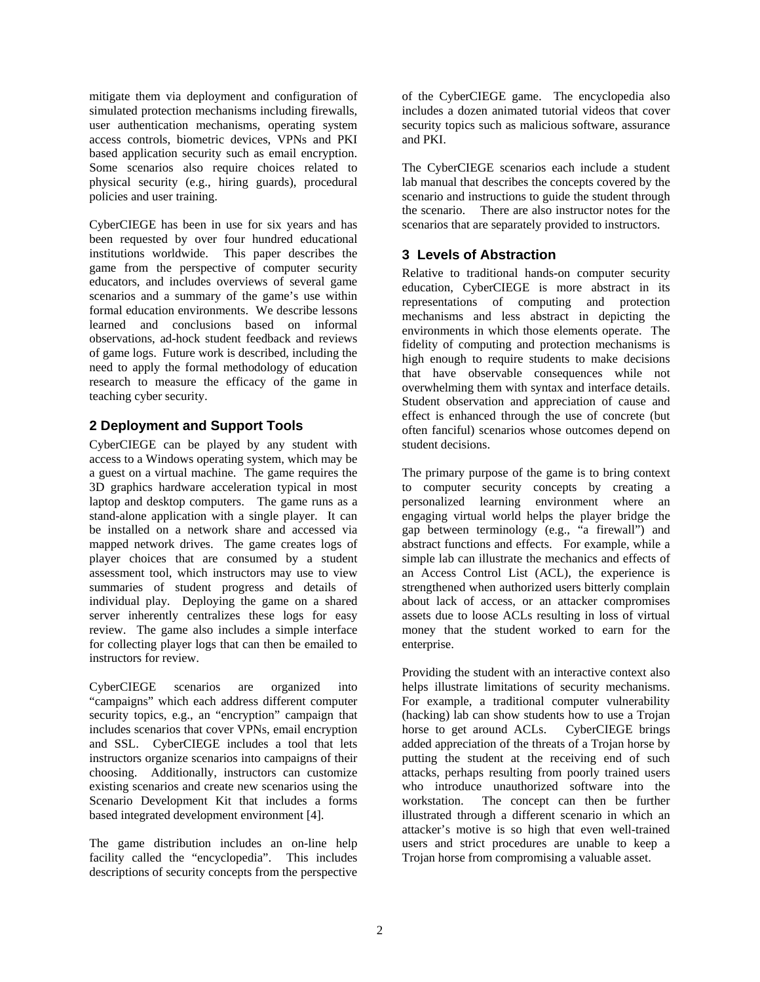mitigate them via deployment and configuration of simulated protection mechanisms including firewalls, user authentication mechanisms, operating system access controls, biometric devices, VPNs and PKI based application security such as email encryption. Some scenarios also require choices related to physical security (e.g., hiring guards), procedural policies and user training.

CyberCIEGE has been in use for six years and has been requested by over four hundred educational institutions worldwide. This paper describes the game from the perspective of computer security educators, and includes overviews of several game scenarios and a summary of the game's use within formal education environments. We describe lessons learned and conclusions based on informal observations, ad-hock student feedback and reviews of game logs. Future work is described, including the need to apply the formal methodology of education research to measure the efficacy of the game in teaching cyber security.

## **2 Deployment and Support Tools**

CyberCIEGE can be played by any student with access to a Windows operating system, which may be a guest on a virtual machine. The game requires the 3D graphics hardware acceleration typical in most laptop and desktop computers. The game runs as a stand-alone application with a single player. It can be installed on a network share and accessed via mapped network drives. The game creates logs of player choices that are consumed by a student assessment tool, which instructors may use to view summaries of student progress and details of individual play. Deploying the game on a shared server inherently centralizes these logs for easy review. The game also includes a simple interface for collecting player logs that can then be emailed to instructors for review.

CyberCIEGE scenarios are organized into "campaigns" which each address different computer security topics, e.g., an "encryption" campaign that includes scenarios that cover VPNs, email encryption and SSL. CyberCIEGE includes a tool that lets instructors organize scenarios into campaigns of their choosing. Additionally, instructors can customize existing scenarios and create new scenarios using the Scenario Development Kit that includes a forms based integrated development environment [4].

The game distribution includes an on-line help facility called the "encyclopedia". This includes descriptions of security concepts from the perspective of the CyberCIEGE game. The encyclopedia also includes a dozen animated tutorial videos that cover security topics such as malicious software, assurance and PKI.

The CyberCIEGE scenarios each include a student lab manual that describes the concepts covered by the scenario and instructions to guide the student through the scenario. There are also instructor notes for the scenarios that are separately provided to instructors.

## **3 Levels of Abstraction**

Relative to traditional hands-on computer security education, CyberCIEGE is more abstract in its representations of computing and protection mechanisms and less abstract in depicting the environments in which those elements operate. The fidelity of computing and protection mechanisms is high enough to require students to make decisions that have observable consequences while not overwhelming them with syntax and interface details. Student observation and appreciation of cause and effect is enhanced through the use of concrete (but often fanciful) scenarios whose outcomes depend on student decisions.

The primary purpose of the game is to bring context to computer security concepts by creating a personalized learning environment where an engaging virtual world helps the player bridge the gap between terminology (e.g., "a firewall") and abstract functions and effects. For example, while a simple lab can illustrate the mechanics and effects of an Access Control List (ACL), the experience is strengthened when authorized users bitterly complain about lack of access, or an attacker compromises assets due to loose ACLs resulting in loss of virtual money that the student worked to earn for the enterprise.

Providing the student with an interactive context also helps illustrate limitations of security mechanisms. For example, a traditional computer vulnerability (hacking) lab can show students how to use a Trojan horse to get around ACLs. CyberCIEGE brings added appreciation of the threats of a Trojan horse by putting the student at the receiving end of such attacks, perhaps resulting from poorly trained users who introduce unauthorized software into the workstation. The concept can then be further illustrated through a different scenario in which an attacker's motive is so high that even well-trained users and strict procedures are unable to keep a Trojan horse from compromising a valuable asset.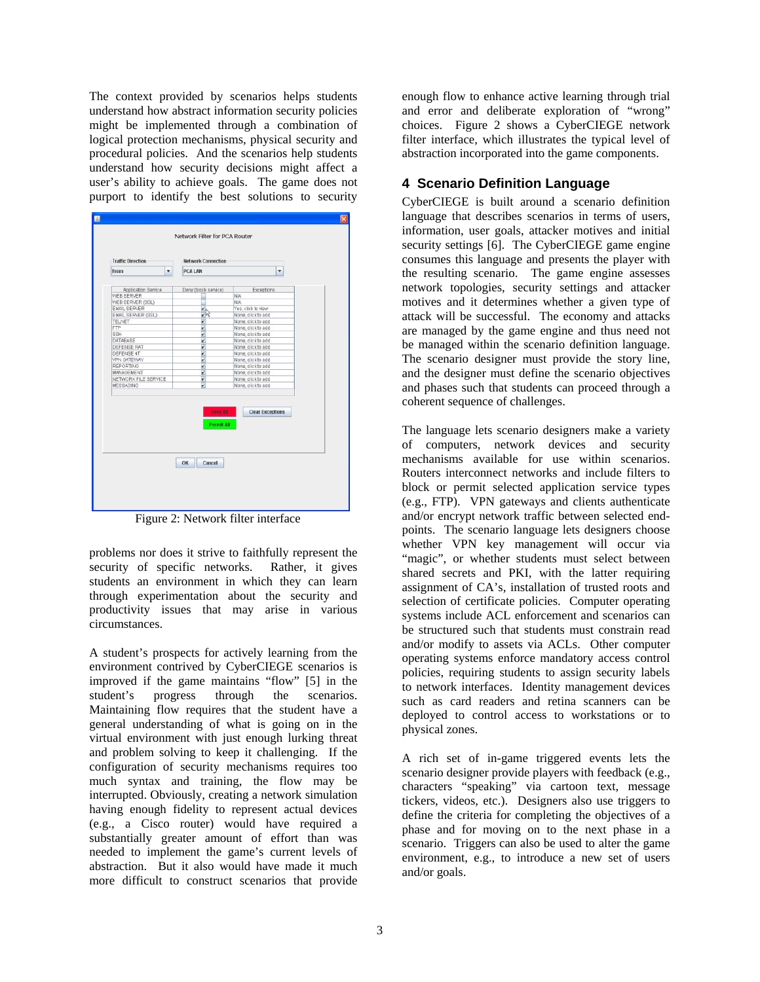The context provided by scenarios helps students understand how abstract information security policies might be implemented through a combination of logical protection mechanisms, physical security and procedural policies. And the scenarios help students understand how security decisions might affect a user's ability to achieve goals. The game does not purport to identify the best solutions to security

| <b>Traffic Direction</b> |   | <b>Network Connection</b> |                         |
|--------------------------|---|---------------------------|-------------------------|
| From                     | v | PCALAN                    | v                       |
| Application Service      |   | Deny (block service)      | Exceptions              |
| WEB SERVER               |   |                           | <b>N/A</b>              |
| WEB SERVER (SSL)         |   |                           | <b>N/A</b>              |
| EMAIL SERVER             |   |                           | Yes, click to view      |
| EMAIL SERVER (SSL)       |   | $\frac{1}{2}$             | None, click to add      |
| TELNET                   |   | V                         | None, click to add      |
| <b>FTP</b>               |   | v                         | None, click to add      |
| SSH                      |   | v                         | None, click to add      |
| DATABASE                 |   | <b>K</b>                  | None, click to add      |
| <b>DEFENSE RAT</b>       |   |                           | None, click to add      |
| DEFENSE 4T               |   | v                         | None, click to add      |
| VPN GATEWAY              |   | $\frac{1}{2}$             | None, click to add      |
| REPORTING                |   |                           | None, click to add      |
| MANAGEMENT               |   | v                         | None, click to add      |
| NETWORK FILE SERVICE     |   | v                         | None, click to add      |
| MESSAGING                |   | v                         | None, click to add      |
|                          |   | Geny All                  | <b>Clear Exceptions</b> |

Figure 2: Network filter interface

problems nor does it strive to faithfully represent the security of specific networks. Rather, it gives students an environment in which they can learn through experimentation about the security and productivity issues that may arise in various circumstances.

A student's prospects for actively learning from the environment contrived by CyberCIEGE scenarios is improved if the game maintains "flow" [5] in the student's progress through the scenarios. Maintaining flow requires that the student have a general understanding of what is going on in the virtual environment with just enough lurking threat and problem solving to keep it challenging. If the configuration of security mechanisms requires too much syntax and training, the flow may be interrupted. Obviously, creating a network simulation having enough fidelity to represent actual devices (e.g., a Cisco router) would have required a substantially greater amount of effort than was needed to implement the game's current levels of abstraction. But it also would have made it much more difficult to construct scenarios that provide

enough flow to enhance active learning through trial and error and deliberate exploration of "wrong" choices. Figure 2 shows a CyberCIEGE network filter interface, which illustrates the typical level of abstraction incorporated into the game components.

## **4 Scenario Definition Language**

CyberCIEGE is built around a scenario definition language that describes scenarios in terms of users, information, user goals, attacker motives and initial security settings [6]. The CyberCIEGE game engine consumes this language and presents the player with the resulting scenario. The game engine assesses network topologies, security settings and attacker motives and it determines whether a given type of attack will be successful. The economy and attacks are managed by the game engine and thus need not be managed within the scenario definition language. The scenario designer must provide the story line, and the designer must define the scenario objectives and phases such that students can proceed through a coherent sequence of challenges.

The language lets scenario designers make a variety of computers, network devices and security mechanisms available for use within scenarios. Routers interconnect networks and include filters to block or permit selected application service types (e.g., FTP). VPN gateways and clients authenticate and/or encrypt network traffic between selected endpoints. The scenario language lets designers choose whether VPN key management will occur via "magic", or whether students must select between shared secrets and PKI, with the latter requiring assignment of CA's, installation of trusted roots and selection of certificate policies. Computer operating systems include ACL enforcement and scenarios can be structured such that students must constrain read and/or modify to assets via ACLs. Other computer operating systems enforce mandatory access control policies, requiring students to assign security labels to network interfaces. Identity management devices such as card readers and retina scanners can be deployed to control access to workstations or to physical zones.

A rich set of in-game triggered events lets the scenario designer provide players with feedback (e.g., characters "speaking" via cartoon text, message tickers, videos, etc.). Designers also use triggers to define the criteria for completing the objectives of a phase and for moving on to the next phase in a scenario. Triggers can also be used to alter the game environment, e.g., to introduce a new set of users and/or goals.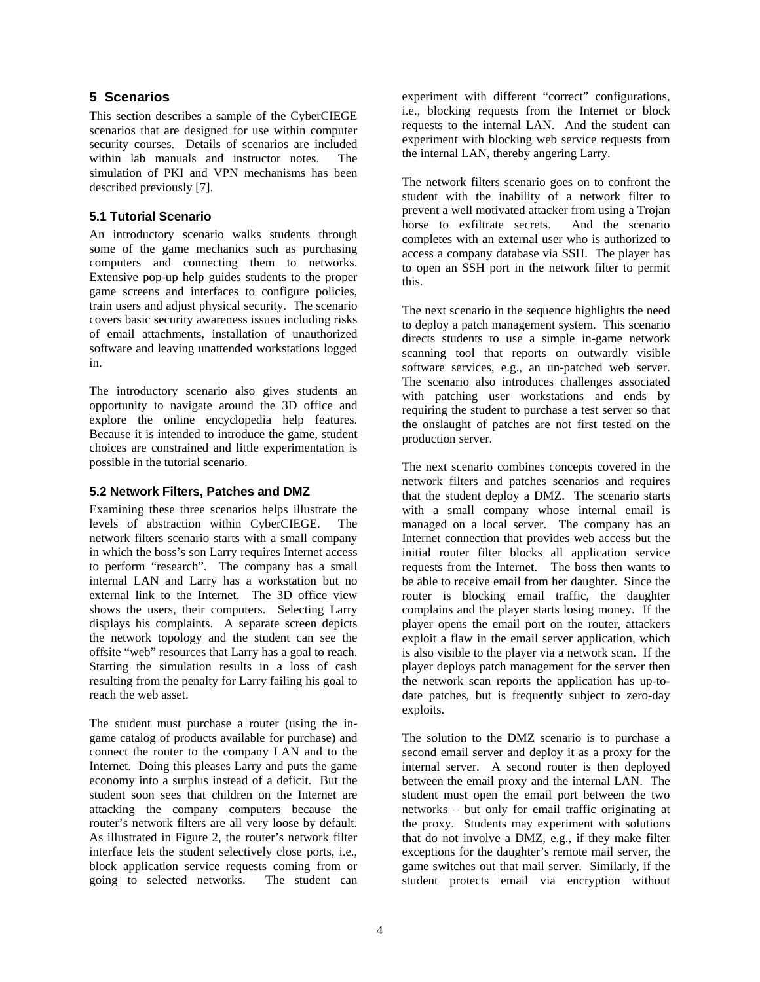### **5 Scenarios**

This section describes a sample of the CyberCIEGE scenarios that are designed for use within computer security courses. Details of scenarios are included within lab manuals and instructor notes. The simulation of PKI and VPN mechanisms has been described previously [7].

### **5.1 Tutorial Scenario**

An introductory scenario walks students through some of the game mechanics such as purchasing computers and connecting them to networks. Extensive pop-up help guides students to the proper game screens and interfaces to configure policies, train users and adjust physical security. The scenario covers basic security awareness issues including risks of email attachments, installation of unauthorized software and leaving unattended workstations logged in.

The introductory scenario also gives students an opportunity to navigate around the 3D office and explore the online encyclopedia help features. Because it is intended to introduce the game, student choices are constrained and little experimentation is possible in the tutorial scenario.

#### **5.2 Network Filters, Patches and DMZ**

Examining these three scenarios helps illustrate the levels of abstraction within CyberCIEGE. The network filters scenario starts with a small company in which the boss's son Larry requires Internet access to perform "research". The company has a small internal LAN and Larry has a workstation but no external link to the Internet. The 3D office view shows the users, their computers. Selecting Larry displays his complaints. A separate screen depicts the network topology and the student can see the offsite "web" resources that Larry has a goal to reach. Starting the simulation results in a loss of cash resulting from the penalty for Larry failing his goal to reach the web asset.

The student must purchase a router (using the ingame catalog of products available for purchase) and connect the router to the company LAN and to the Internet. Doing this pleases Larry and puts the game economy into a surplus instead of a deficit. But the student soon sees that children on the Internet are attacking the company computers because the router's network filters are all very loose by default. As illustrated in Figure 2, the router's network filter interface lets the student selectively close ports, i.e., block application service requests coming from or going to selected networks. The student can

experiment with different "correct" configurations, i.e., blocking requests from the Internet or block requests to the internal LAN. And the student can experiment with blocking web service requests from the internal LAN, thereby angering Larry.

The network filters scenario goes on to confront the student with the inability of a network filter to prevent a well motivated attacker from using a Trojan<br>horse to exfiltrate secrets. And the scenario horse to exfiltrate secrets. completes with an external user who is authorized to access a company database via SSH. The player has to open an SSH port in the network filter to permit this.

The next scenario in the sequence highlights the need to deploy a patch management system. This scenario directs students to use a simple in-game network scanning tool that reports on outwardly visible software services, e.g., an un-patched web server. The scenario also introduces challenges associated with patching user workstations and ends by requiring the student to purchase a test server so that the onslaught of patches are not first tested on the production server.

The next scenario combines concepts covered in the network filters and patches scenarios and requires that the student deploy a DMZ. The scenario starts with a small company whose internal email is managed on a local server. The company has an Internet connection that provides web access but the initial router filter blocks all application service requests from the Internet. The boss then wants to be able to receive email from her daughter. Since the router is blocking email traffic, the daughter complains and the player starts losing money. If the player opens the email port on the router, attackers exploit a flaw in the email server application, which is also visible to the player via a network scan. If the player deploys patch management for the server then the network scan reports the application has up-todate patches, but is frequently subject to zero-day exploits.

The solution to the DMZ scenario is to purchase a second email server and deploy it as a proxy for the internal server. A second router is then deployed between the email proxy and the internal LAN. The student must open the email port between the two networks – but only for email traffic originating at the proxy. Students may experiment with solutions that do not involve a DMZ, e.g., if they make filter exceptions for the daughter's remote mail server, the game switches out that mail server. Similarly, if the student protects email via encryption without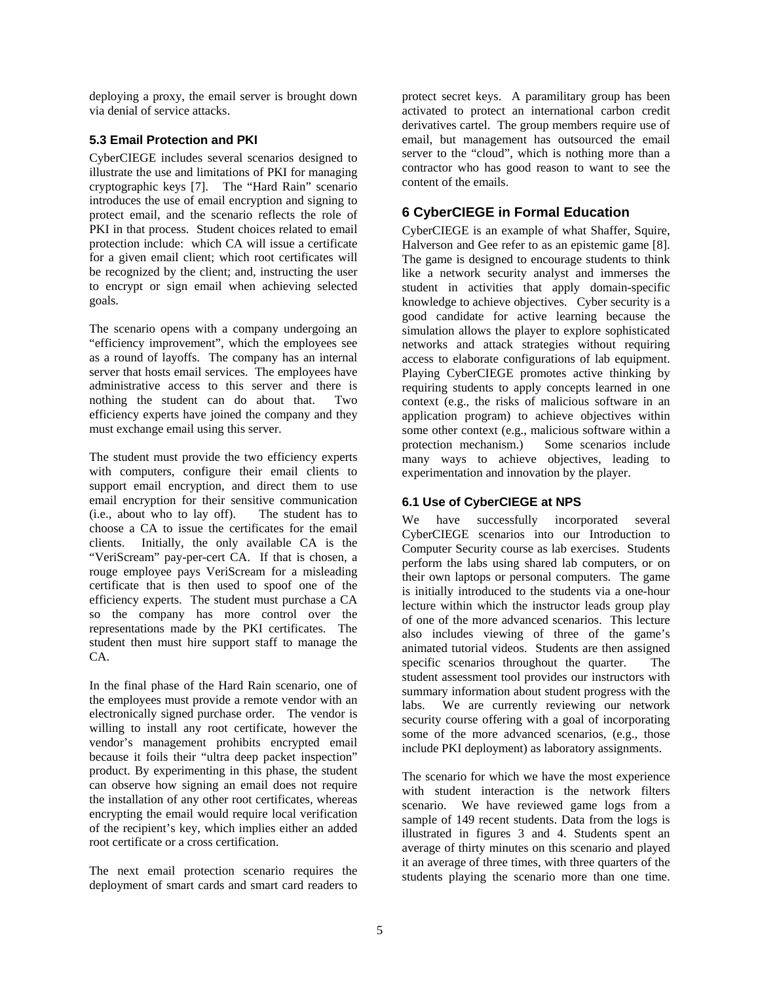deploying a proxy, the email server is brought down via denial of service attacks.

## **5.3 Email Protection and PKI**

CyberCIEGE includes several scenarios designed to illustrate the use and limitations of PKI for managing cryptographic keys [7]. The "Hard Rain" scenario introduces the use of email encryption and signing to protect email, and the scenario reflects the role of PKI in that process. Student choices related to email protection include: which CA will issue a certificate for a given email client; which root certificates will be recognized by the client; and, instructing the user to encrypt or sign email when achieving selected goals.

The scenario opens with a company undergoing an "efficiency improvement", which the employees see as a round of layoffs. The company has an internal server that hosts email services. The employees have administrative access to this server and there is nothing the student can do about that. Two efficiency experts have joined the company and they must exchange email using this server.

The student must provide the two efficiency experts with computers, configure their email clients to support email encryption, and direct them to use email encryption for their sensitive communication (i.e., about who to lay off). The student has to choose a CA to issue the certificates for the email clients. Initially, the only available CA is the "VeriScream" pay-per-cert CA. If that is chosen, a rouge employee pays VeriScream for a misleading certificate that is then used to spoof one of the efficiency experts. The student must purchase a CA so the company has more control over the representations made by the PKI certificates. The student then must hire support staff to manage the CA.

In the final phase of the Hard Rain scenario, one of the employees must provide a remote vendor with an electronically signed purchase order. The vendor is willing to install any root certificate, however the vendor's management prohibits encrypted email because it foils their "ultra deep packet inspection" product. By experimenting in this phase, the student can observe how signing an email does not require the installation of any other root certificates, whereas encrypting the email would require local verification of the recipient's key, which implies either an added root certificate or a cross certification.

The next email protection scenario requires the deployment of smart cards and smart card readers to protect secret keys. A paramilitary group has been activated to protect an international carbon credit derivatives cartel. The group members require use of email, but management has outsourced the email server to the "cloud", which is nothing more than a contractor who has good reason to want to see the content of the emails.

# **6 CyberCIEGE in Formal Education**

CyberCIEGE is an example of what Shaffer, Squire, Halverson and Gee refer to as an epistemic game [8]. The game is designed to encourage students to think like a network security analyst and immerses the student in activities that apply domain-specific knowledge to achieve objectives. Cyber security is a good candidate for active learning because the simulation allows the player to explore sophisticated networks and attack strategies without requiring access to elaborate configurations of lab equipment. Playing CyberCIEGE promotes active thinking by requiring students to apply concepts learned in one context (e.g., the risks of malicious software in an application program) to achieve objectives within some other context (e.g., malicious software within a protection mechanism.) Some scenarios include many ways to achieve objectives, leading to experimentation and innovation by the player.

### **6.1 Use of CyberCIEGE at NPS**

We have successfully incorporated several CyberCIEGE scenarios into our Introduction to Computer Security course as lab exercises. Students perform the labs using shared lab computers, or on their own laptops or personal computers. The game is initially introduced to the students via a one-hour lecture within which the instructor leads group play of one of the more advanced scenarios. This lecture also includes viewing of three of the game's animated tutorial videos. Students are then assigned specific scenarios throughout the quarter. The student assessment tool provides our instructors with summary information about student progress with the labs. We are currently reviewing our network security course offering with a goal of incorporating some of the more advanced scenarios, (e.g., those include PKI deployment) as laboratory assignments.

The scenario for which we have the most experience with student interaction is the network filters scenario. We have reviewed game logs from a sample of 149 recent students. Data from the logs is illustrated in figures 3 and 4. Students spent an average of thirty minutes on this scenario and played it an average of three times, with three quarters of the students playing the scenario more than one time.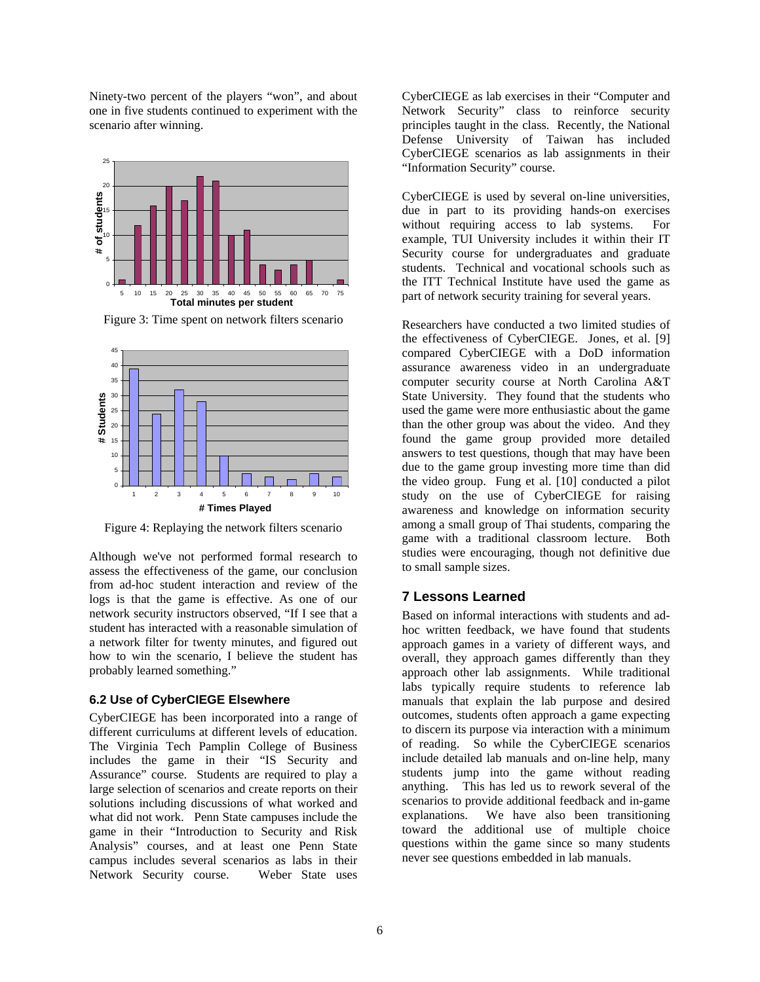Ninety-two percent of the players "won", and about one in five students continued to experiment with the scenario after winning.



Figure 3: Time spent on network filters scenario



Figure 4: Replaying the network filters scenario

Although we've not performed formal research to assess the effectiveness of the game, our conclusion from ad-hoc student interaction and review of the logs is that the game is effective. As one of our network security instructors observed, "If I see that a student has interacted with a reasonable simulation of a network filter for twenty minutes, and figured out how to win the scenario, I believe the student has probably learned something."

#### **6.2 Use of CyberCIEGE Elsewhere**

CyberCIEGE has been incorporated into a range of different curriculums at different levels of education. The Virginia Tech Pamplin College of Business includes the game in their "IS Security and Assurance" course. Students are required to play a large selection of scenarios and create reports on their solutions including discussions of what worked and what did not work. Penn State campuses include the game in their "Introduction to Security and Risk Analysis" courses, and at least one Penn State campus includes several scenarios as labs in their Network Security course. Weber State uses

CyberCIEGE as lab exercises in their "Computer and Network Security" class to reinforce security principles taught in the class. Recently, the National Defense University of Taiwan has included CyberCIEGE scenarios as lab assignments in their "Information Security" course.

CyberCIEGE is used by several on-line universities, due in part to its providing hands-on exercises without requiring access to lab systems. For example, TUI University includes it within their IT Security course for undergraduates and graduate students. Technical and vocational schools such as the ITT Technical Institute have used the game as part of network security training for several years.

Researchers have conducted a two limited studies of the effectiveness of CyberCIEGE. Jones, et al. [9] compared CyberCIEGE with a DoD information assurance awareness video in an undergraduate computer security course at North Carolina A&T State University. They found that the students who used the game were more enthusiastic about the game than the other group was about the video. And they found the game group provided more detailed answers to test questions, though that may have been due to the game group investing more time than did the video group. Fung et al. [10] conducted a pilot study on the use of CyberCIEGE for raising awareness and knowledge on information security among a small group of Thai students, comparing the game with a traditional classroom lecture. Both studies were encouraging, though not definitive due to small sample sizes.

### **7 Lessons Learned**

Based on informal interactions with students and adhoc written feedback, we have found that students approach games in a variety of different ways, and overall, they approach games differently than they approach other lab assignments. While traditional labs typically require students to reference lab manuals that explain the lab purpose and desired outcomes, students often approach a game expecting to discern its purpose via interaction with a minimum of reading. So while the CyberCIEGE scenarios include detailed lab manuals and on-line help, many students jump into the game without reading anything. This has led us to rework several of the scenarios to provide additional feedback and in-game explanations. We have also been transitioning toward the additional use of multiple choice questions within the game since so many students never see questions embedded in lab manuals.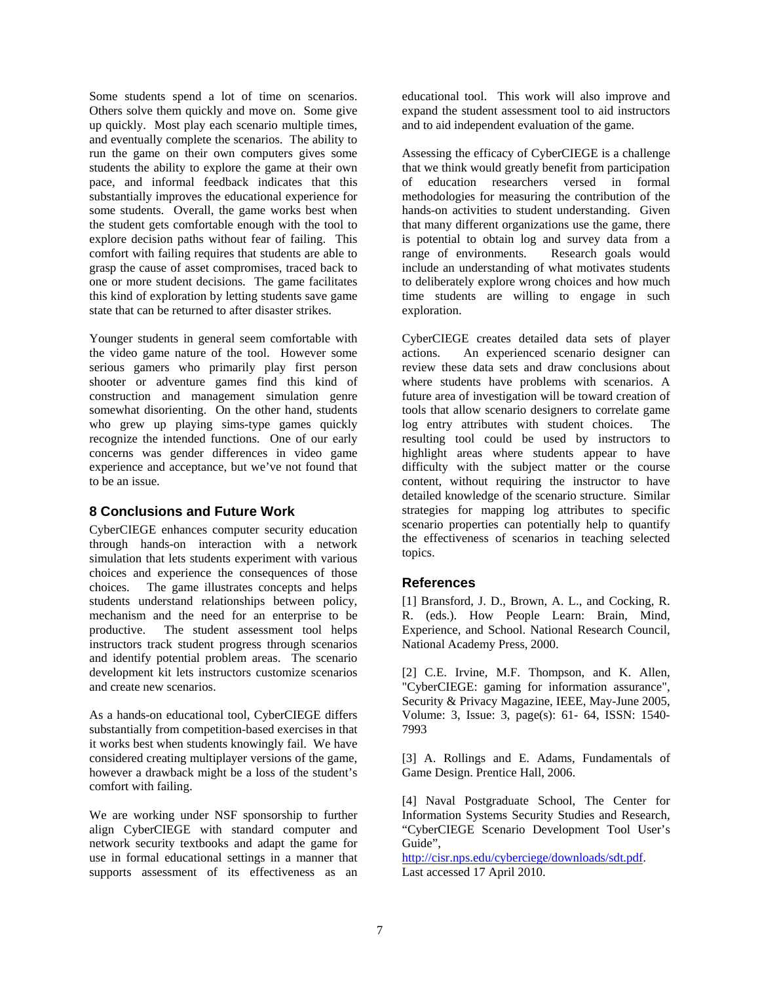Some students spend a lot of time on scenarios. Others solve them quickly and move on. Some give up quickly. Most play each scenario multiple times, and eventually complete the scenarios. The ability to run the game on their own computers gives some students the ability to explore the game at their own pace, and informal feedback indicates that this substantially improves the educational experience for some students. Overall, the game works best when the student gets comfortable enough with the tool to explore decision paths without fear of failing. This comfort with failing requires that students are able to grasp the cause of asset compromises, traced back to one or more student decisions. The game facilitates this kind of exploration by letting students save game state that can be returned to after disaster strikes.

Younger students in general seem comfortable with the video game nature of the tool. However some serious gamers who primarily play first person shooter or adventure games find this kind of construction and management simulation genre somewhat disorienting. On the other hand, students who grew up playing sims-type games quickly recognize the intended functions. One of our early concerns was gender differences in video game experience and acceptance, but we've not found that to be an issue.

### **8 Conclusions and Future Work**

CyberCIEGE enhances computer security education through hands-on interaction with a network simulation that lets students experiment with various choices and experience the consequences of those choices. The game illustrates concepts and helps students understand relationships between policy, mechanism and the need for an enterprise to be productive. The student assessment tool helps instructors track student progress through scenarios and identify potential problem areas. The scenario development kit lets instructors customize scenarios and create new scenarios.

As a hands-on educational tool, CyberCIEGE differs substantially from competition-based exercises in that it works best when students knowingly fail. We have considered creating multiplayer versions of the game, however a drawback might be a loss of the student's comfort with failing.

We are working under NSF sponsorship to further align CyberCIEGE with standard computer and network security textbooks and adapt the game for use in formal educational settings in a manner that supports assessment of its effectiveness as an

educational tool. This work will also improve and expand the student assessment tool to aid instructors and to aid independent evaluation of the game.

Assessing the efficacy of CyberCIEGE is a challenge that we think would greatly benefit from participation of education researchers versed in formal methodologies for measuring the contribution of the hands-on activities to student understanding. Given that many different organizations use the game, there is potential to obtain log and survey data from a range of environments. Research goals would include an understanding of what motivates students to deliberately explore wrong choices and how much time students are willing to engage in such exploration.

CyberCIEGE creates detailed data sets of player actions. An experienced scenario designer can review these data sets and draw conclusions about where students have problems with scenarios. A future area of investigation will be toward creation of tools that allow scenario designers to correlate game log entry attributes with student choices. The resulting tool could be used by instructors to highlight areas where students appear to have difficulty with the subject matter or the course content, without requiring the instructor to have detailed knowledge of the scenario structure. Similar strategies for mapping log attributes to specific scenario properties can potentially help to quantify the effectiveness of scenarios in teaching selected topics.

### **References**

[1] Bransford, J. D., Brown, A. L., and Cocking, R. R. (eds.). How People Learn: Brain, Mind, Experience, and School. National Research Council, National Academy Press, 2000.

[2] C.E. Irvine, M.F. Thompson, and K. Allen, "CyberCIEGE: gaming for information assurance", Security & Privacy Magazine, IEEE, May-June 2005, Volume: 3, Issue: 3, page(s): 61- 64, ISSN: 1540- 7993

[3] A. Rollings and E. Adams, Fundamentals of Game Design. Prentice Hall, 2006.

[4] Naval Postgraduate School, The Center for Information Systems Security Studies and Research, "CyberCIEGE Scenario Development Tool User's Guide",

http://cisr.nps.edu/cyberciege/downloads/sdt.pdf. Last accessed 17 April 2010.